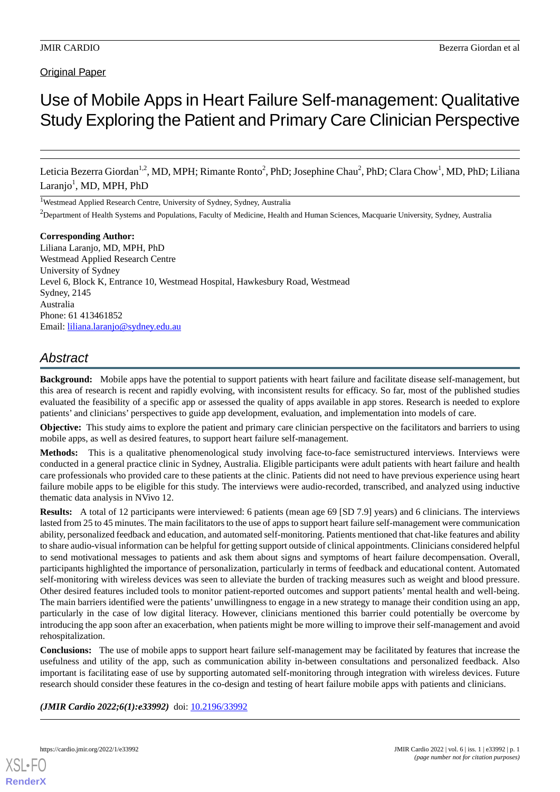# **Original Paper**

# Use of Mobile Apps in Heart Failure Self-management: Qualitative Study Exploring the Patient and Primary Care Clinician Perspective

Leticia Bezerra Giordan<sup>1,2</sup>, MD, MPH; Rimante Ronto<sup>2</sup>, PhD; Josephine Chau<sup>2</sup>, PhD; Clara Chow<sup>1</sup>, MD, PhD; Liliana Laranjo<sup>1</sup>, MD, MPH, PhD

<sup>1</sup>Westmead Applied Research Centre, University of Sydney, Sydney, Australia

<sup>2</sup>Department of Health Systems and Populations, Faculty of Medicine, Health and Human Sciences, Macquarie University, Sydney, Australia

**Corresponding Author:** Liliana Laranjo, MD, MPH, PhD Westmead Applied Research Centre University of Sydney Level 6, Block K, Entrance 10, Westmead Hospital, Hawkesbury Road, Westmead Sydney, 2145 Australia Phone: 61 413461852 Email: [liliana.laranjo@sydney.edu.au](mailto:liliana.laranjo@sydney.edu.au)

# *Abstract*

**Background:** Mobile apps have the potential to support patients with heart failure and facilitate disease self-management, but this area of research is recent and rapidly evolving, with inconsistent results for efficacy. So far, most of the published studies evaluated the feasibility of a specific app or assessed the quality of apps available in app stores. Research is needed to explore patients' and clinicians' perspectives to guide app development, evaluation, and implementation into models of care.

**Objective:** This study aims to explore the patient and primary care clinician perspective on the facilitators and barriers to using mobile apps, as well as desired features, to support heart failure self-management.

**Methods:** This is a qualitative phenomenological study involving face-to-face semistructured interviews. Interviews were conducted in a general practice clinic in Sydney, Australia. Eligible participants were adult patients with heart failure and health care professionals who provided care to these patients at the clinic. Patients did not need to have previous experience using heart failure mobile apps to be eligible for this study. The interviews were audio-recorded, transcribed, and analyzed using inductive thematic data analysis in NVivo 12.

**Results:** A total of 12 participants were interviewed: 6 patients (mean age 69 [SD 7.9] years) and 6 clinicians. The interviews lasted from 25 to 45 minutes. The main facilitators to the use of apps to support heart failure self-management were communication ability, personalized feedback and education, and automated self-monitoring. Patients mentioned that chat-like features and ability to share audio-visual information can be helpful for getting support outside of clinical appointments. Clinicians considered helpful to send motivational messages to patients and ask them about signs and symptoms of heart failure decompensation. Overall, participants highlighted the importance of personalization, particularly in terms of feedback and educational content. Automated self-monitoring with wireless devices was seen to alleviate the burden of tracking measures such as weight and blood pressure. Other desired features included tools to monitor patient-reported outcomes and support patients' mental health and well-being. The main barriers identified were the patients' unwillingness to engage in a new strategy to manage their condition using an app, particularly in the case of low digital literacy. However, clinicians mentioned this barrier could potentially be overcome by introducing the app soon after an exacerbation, when patients might be more willing to improve their self-management and avoid rehospitalization.

**Conclusions:** The use of mobile apps to support heart failure self-management may be facilitated by features that increase the usefulness and utility of the app, such as communication ability in-between consultations and personalized feedback. Also important is facilitating ease of use by supporting automated self-monitoring through integration with wireless devices. Future research should consider these features in the co-design and testing of heart failure mobile apps with patients and clinicians.

*(JMIR Cardio 2022;6(1):e33992)* doi: [10.2196/33992](http://dx.doi.org/10.2196/33992)

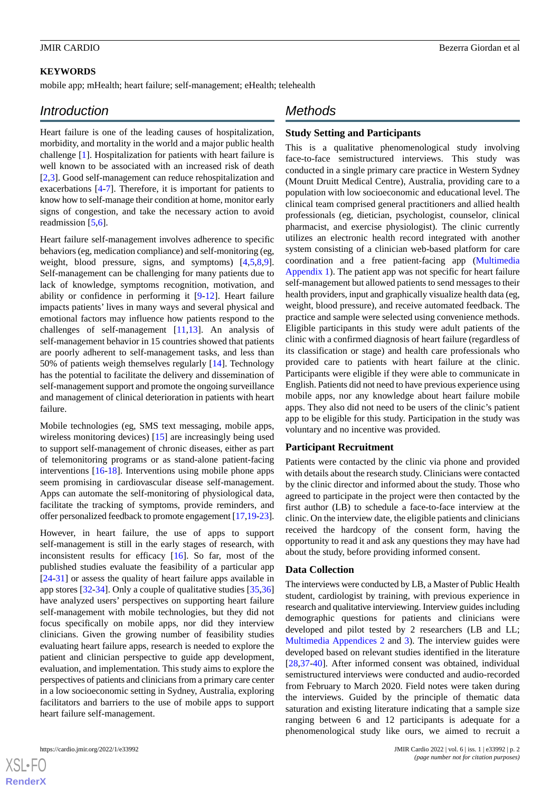#### **KEYWORDS**

mobile app; mHealth; heart failure; self-management; eHealth; telehealth

# *Introduction*

Heart failure is one of the leading causes of hospitalization, morbidity, and mortality in the world and a major public health challenge [[1\]](#page-7-0). Hospitalization for patients with heart failure is well known to be associated with an increased risk of death [[2](#page-7-1)[,3](#page-7-2)]. Good self-management can reduce rehospitalization and exacerbations [\[4](#page-8-0)[-7\]](#page-8-1). Therefore, it is important for patients to know how to self-manage their condition at home, monitor early signs of congestion, and take the necessary action to avoid readmission [[5,](#page-8-2)[6](#page-8-3)].

Heart failure self-management involves adherence to specific behaviors (eg, medication compliance) and self-monitoring (eg, weight, blood pressure, signs, and symptoms) [\[4](#page-8-0),[5](#page-8-2)[,8](#page-8-4),[9\]](#page-8-5). Self-management can be challenging for many patients due to lack of knowledge, symptoms recognition, motivation, and ability or confidence in performing it [[9](#page-8-5)[-12](#page-8-6)]. Heart failure impacts patients' lives in many ways and several physical and emotional factors may influence how patients respond to the challenges of self-management  $[11,13]$  $[11,13]$  $[11,13]$  $[11,13]$ . An analysis of self-management behavior in 15 countries showed that patients are poorly adherent to self-management tasks, and less than 50% of patients weigh themselves regularly [[14\]](#page-8-9). Technology has the potential to facilitate the delivery and dissemination of self-management support and promote the ongoing surveillance and management of clinical deterioration in patients with heart failure.

Mobile technologies (eg, SMS text messaging, mobile apps, wireless monitoring devices) [[15\]](#page-8-10) are increasingly being used to support self-management of chronic diseases, either as part of telemonitoring programs or as stand-alone patient-facing interventions [\[16](#page-8-11)[-18](#page-8-12)]. Interventions using mobile phone apps seem promising in cardiovascular disease self-management. Apps can automate the self-monitoring of physiological data, facilitate the tracking of symptoms, provide reminders, and offer personalized feedback to promote engagement [\[17](#page-8-13),[19-](#page-8-14)[23\]](#page-8-15).

However, in heart failure, the use of apps to support self-management is still in the early stages of research, with inconsistent results for efficacy [[16\]](#page-8-11). So far, most of the published studies evaluate the feasibility of a particular app [[24](#page-9-0)[-31](#page-9-1)] or assess the quality of heart failure apps available in app stores [\[32](#page-9-2)-[34\]](#page-9-3). Only a couple of qualitative studies [[35](#page-9-4)[,36](#page-9-5)] have analyzed users' perspectives on supporting heart failure self-management with mobile technologies, but they did not focus specifically on mobile apps, nor did they interview clinicians. Given the growing number of feasibility studies evaluating heart failure apps, research is needed to explore the patient and clinician perspective to guide app development, evaluation, and implementation. This study aims to explore the perspectives of patients and clinicians from a primary care center in a low socioeconomic setting in Sydney, Australia, exploring facilitators and barriers to the use of mobile apps to support heart failure self-management.

 $X$ SL•F $C$ **[RenderX](http://www.renderx.com/)**

# *Methods*

#### **Study Setting and Participants**

This is a qualitative phenomenological study involving face-to-face semistructured interviews. This study was conducted in a single primary care practice in Western Sydney (Mount Druitt Medical Centre), Australia, providing care to a population with low socioeconomic and educational level. The clinical team comprised general practitioners and allied health professionals (eg, dietician, psychologist, counselor, clinical pharmacist, and exercise physiologist). The clinic currently utilizes an electronic health record integrated with another system consisting of a clinician web-based platform for care coordination and a free patient-facing app [\(Multimedia](#page-7-3) [Appendix 1\)](#page-7-3). The patient app was not specific for heart failure self-management but allowed patients to send messages to their health providers, input and graphically visualize health data (eg, weight, blood pressure), and receive automated feedback. The practice and sample were selected using convenience methods. Eligible participants in this study were adult patients of the clinic with a confirmed diagnosis of heart failure (regardless of its classification or stage) and health care professionals who provided care to patients with heart failure at the clinic. Participants were eligible if they were able to communicate in English. Patients did not need to have previous experience using mobile apps, nor any knowledge about heart failure mobile apps. They also did not need to be users of the clinic's patient app to be eligible for this study. Participation in the study was voluntary and no incentive was provided.

#### **Participant Recruitment**

Patients were contacted by the clinic via phone and provided with details about the research study. Clinicians were contacted by the clinic director and informed about the study. Those who agreed to participate in the project were then contacted by the first author (LB) to schedule a face-to-face interview at the clinic. On the interview date, the eligible patients and clinicians received the hardcopy of the consent form, having the opportunity to read it and ask any questions they may have had about the study, before providing informed consent.

#### **Data Collection**

The interviews were conducted by LB, a Master of Public Health student, cardiologist by training, with previous experience in research and qualitative interviewing. Interview guides including demographic questions for patients and clinicians were developed and pilot tested by 2 researchers (LB and LL; [Multimedia Appendices 2](#page-7-4) and [3](#page-7-5)). The interview guides were developed based on relevant studies identified in the literature [[28,](#page-9-6)[37-](#page-9-7)[40\]](#page-9-8). After informed consent was obtained, individual semistructured interviews were conducted and audio-recorded from February to March 2020. Field notes were taken during the interviews. Guided by the principle of thematic data saturation and existing literature indicating that a sample size ranging between 6 and 12 participants is adequate for a phenomenological study like ours, we aimed to recruit a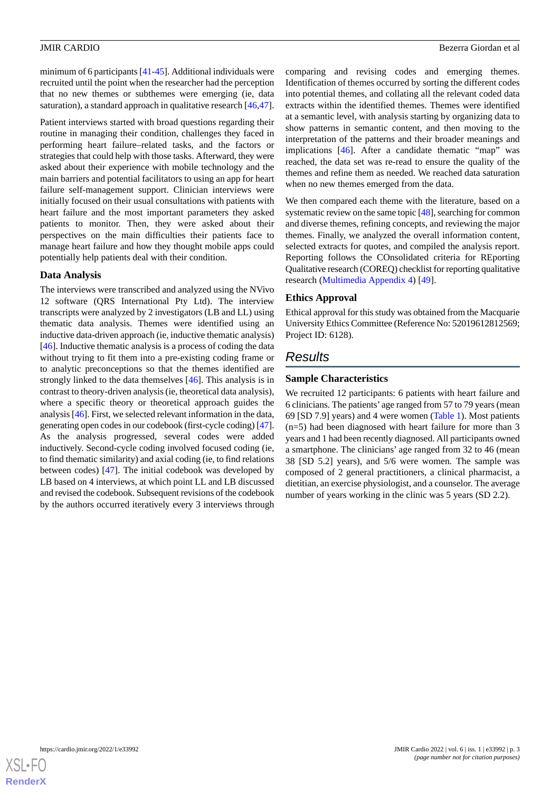minimum of 6 participants [[41-](#page-9-9)[45\]](#page-9-10). Additional individuals were recruited until the point when the researcher had the perception that no new themes or subthemes were emerging (ie, data saturation), a standard approach in qualitative research [\[46](#page-9-11),[47\]](#page-9-12).

Patient interviews started with broad questions regarding their routine in managing their condition, challenges they faced in performing heart failure–related tasks, and the factors or strategies that could help with those tasks. Afterward, they were asked about their experience with mobile technology and the main barriers and potential facilitators to using an app for heart failure self-management support. Clinician interviews were initially focused on their usual consultations with patients with heart failure and the most important parameters they asked patients to monitor. Then, they were asked about their perspectives on the main difficulties their patients face to manage heart failure and how they thought mobile apps could potentially help patients deal with their condition.

#### **Data Analysis**

The interviews were transcribed and analyzed using the NVivo 12 software (QRS International Pty Ltd). The interview transcripts were analyzed by 2 investigators (LB and LL) using thematic data analysis. Themes were identified using an inductive data-driven approach (ie, inductive thematic analysis) [[46\]](#page-9-11). Inductive thematic analysis is a process of coding the data without trying to fit them into a pre-existing coding frame or to analytic preconceptions so that the themes identified are strongly linked to the data themselves [[46\]](#page-9-11). This analysis is in contrast to theory-driven analysis (ie, theoretical data analysis), where a specific theory or theoretical approach guides the analysis [[46\]](#page-9-11). First, we selected relevant information in the data, generating open codes in our codebook (first-cycle coding) [\[47\]](#page-9-12). As the analysis progressed, several codes were added inductively. Second-cycle coding involved focused coding (ie, to find thematic similarity) and axial coding (ie, to find relations between codes) [[47\]](#page-9-12). The initial codebook was developed by LB based on 4 interviews, at which point LL and LB discussed and revised the codebook. Subsequent revisions of the codebook by the authors occurred iteratively every 3 interviews through

comparing and revising codes and emerging themes. Identification of themes occurred by sorting the different codes into potential themes, and collating all the relevant coded data extracts within the identified themes. Themes were identified at a semantic level, with analysis starting by organizing data to show patterns in semantic content, and then moving to the interpretation of the patterns and their broader meanings and implications [\[46](#page-9-11)]. After a candidate thematic "map" was reached, the data set was re-read to ensure the quality of the themes and refine them as needed. We reached data saturation when no new themes emerged from the data.

We then compared each theme with the literature, based on a systematic review on the same topic [[48\]](#page-10-0), searching for common and diverse themes, refining concepts, and reviewing the major themes. Finally, we analyzed the overall information content, selected extracts for quotes, and compiled the analysis report. Reporting follows the COnsolidated criteria for REporting Qualitative research (COREQ) checklist for reporting qualitative research ([Multimedia Appendix 4\)](#page-7-6) [\[49](#page-10-1)].

### **Ethics Approval**

Ethical approval for this study was obtained from the Macquarie University Ethics Committee (Reference No: 52019612812569; Project ID: 6128).

# *Results*

# **Sample Characteristics**

We recruited 12 participants: 6 patients with heart failure and 6 clinicians. The patients' age ranged from 57 to 79 years (mean 69 [SD 7.9] years) and 4 were women ([Table 1](#page-3-0)). Most patients (n=5) had been diagnosed with heart failure for more than 3 years and 1 had been recently diagnosed. All participants owned a smartphone. The clinicians' age ranged from 32 to 46 (mean 38 [SD 5.2] years), and 5/6 were women. The sample was composed of 2 general practitioners, a clinical pharmacist, a dietitian, an exercise physiologist, and a counselor. The average number of years working in the clinic was 5 years (SD 2.2).

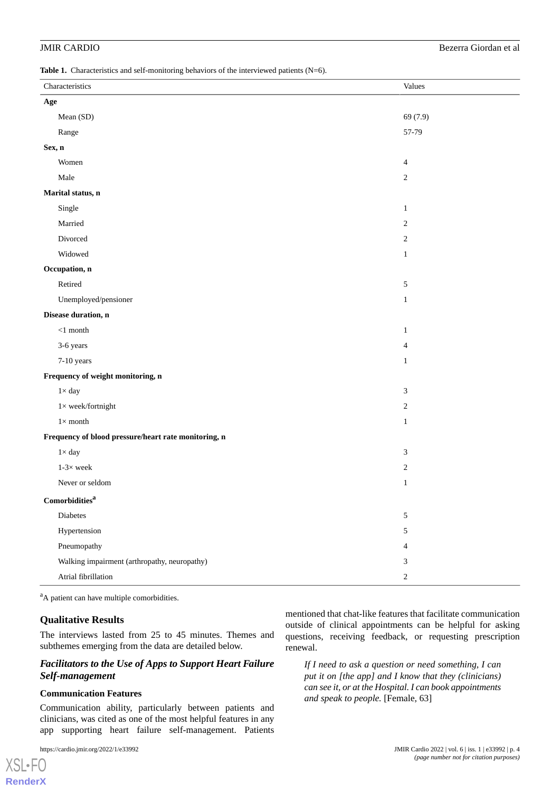### JMIR CARDIO Bezerra Giordan et al

<span id="page-3-0"></span>Table 1. Characteristics and self-monitoring behaviors of the interviewed patients (N=6).

|                                                      | Characteristics                              | Values         |
|------------------------------------------------------|----------------------------------------------|----------------|
| Age                                                  |                                              |                |
|                                                      | Mean (SD)                                    | 69 (7.9)       |
|                                                      | Range                                        | 57-79          |
| Sex, n                                               |                                              |                |
|                                                      | Women                                        | $\overline{4}$ |
|                                                      | Male                                         | $\overline{c}$ |
| Marital status, n                                    |                                              |                |
|                                                      | Single                                       | $\mathbf{1}$   |
|                                                      | Married                                      | 2              |
|                                                      | Divorced                                     | $\overline{c}$ |
|                                                      | Widowed                                      | $\mathbf{1}$   |
| Occupation, n                                        |                                              |                |
|                                                      | Retired                                      | $\sqrt{5}$     |
|                                                      | Unemployed/pensioner                         | $\mathbf{1}$   |
| Disease duration, n                                  |                                              |                |
|                                                      | $<\!1$ month                                 | $\mathbf{1}$   |
|                                                      | 3-6 years                                    | $\overline{4}$ |
|                                                      | 7-10 years                                   | $\mathbf{1}$   |
| Frequency of weight monitoring, n                    |                                              |                |
|                                                      | $1\times$ day                                | 3              |
|                                                      | $1\times$ week/fortnight                     | 2              |
|                                                      | $1\times$ month                              | $\mathbf{1}$   |
| Frequency of blood pressure/heart rate monitoring, n |                                              |                |
|                                                      | $1\times$ day                                | 3              |
|                                                      | $1-3\times$ week                             | 2              |
|                                                      | Never or seldom                              | $\mathbf{1}$   |
| Comorbidities <sup>a</sup>                           |                                              |                |
|                                                      | Diabetes                                     | 5              |
|                                                      | Hypertension                                 | 5              |
|                                                      | Pneumopathy                                  | 4              |
|                                                      | Walking impairment (arthropathy, neuropathy) | 3              |
|                                                      | Atrial fibrillation                          | $\overline{c}$ |

<sup>a</sup>A patient can have multiple comorbidities.

#### **Qualitative Results**

The interviews lasted from 25 to 45 minutes. Themes and subthemes emerging from the data are detailed below.

### *Facilitators to the Use of Apps to Support Heart Failure Self-management*

#### **Communication Features**

Communication ability, particularly between patients and clinicians, was cited as one of the most helpful features in any app supporting heart failure self-management. Patients

[XSL](http://www.w3.org/Style/XSL)•FO **[RenderX](http://www.renderx.com/)** mentioned that chat-like features that facilitate communication outside of clinical appointments can be helpful for asking questions, receiving feedback, or requesting prescription renewal.

*If I need to ask a question or need something, I can put it on [the app] and I know that they (clinicians) can see it, or at the Hospital. I can book appointments and speak to people.* [Female, 63]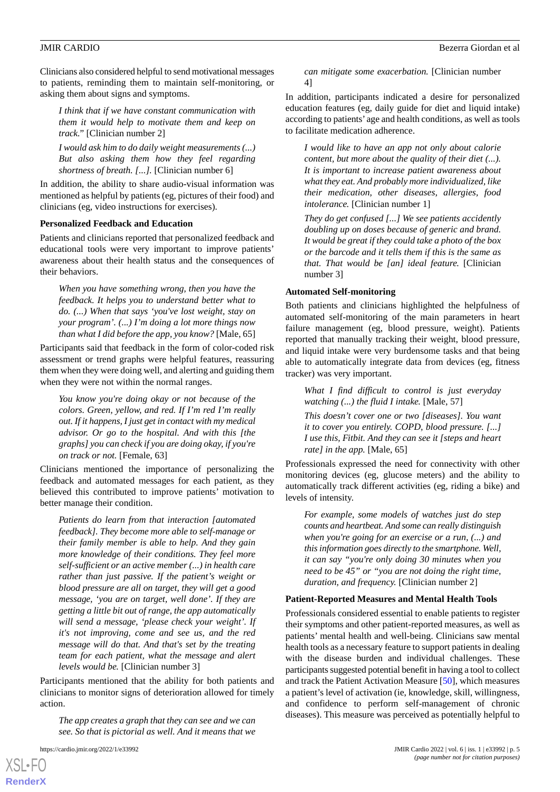Clinicians also considered helpful to send motivational messages to patients, reminding them to maintain self-monitoring, or asking them about signs and symptoms.

*I think that if we have constant communication with them it would help to motivate them and keep on track."* [Clinician number 2]

*I would ask him to do daily weight measurements (...) But also asking them how they feel regarding shortness of breath. [...].* [Clinician number 6]

In addition, the ability to share audio-visual information was mentioned as helpful by patients (eg, pictures of their food) and clinicians (eg, video instructions for exercises).

#### **Personalized Feedback and Education**

Patients and clinicians reported that personalized feedback and educational tools were very important to improve patients' awareness about their health status and the consequences of their behaviors.

*When you have something wrong, then you have the feedback. It helps you to understand better what to do. (...) When that says 'you've lost weight, stay on your program'. (...) I'm doing a lot more things now than what I did before the app, you know?* [Male, 65]

Participants said that feedback in the form of color-coded risk assessment or trend graphs were helpful features, reassuring them when they were doing well, and alerting and guiding them when they were not within the normal ranges.

*You know you're doing okay or not because of the colors. Green, yellow, and red. If I'm red I'm really out. If it happens, I just get in contact with my medical advisor. Or go to the hospital. And with this [the graphs] you can check if you are doing okay, if you're on track or not.* [Female, 63]

Clinicians mentioned the importance of personalizing the feedback and automated messages for each patient, as they believed this contributed to improve patients' motivation to better manage their condition.

*Patients do learn from that interaction [automated feedback]. They become more able to self-manage or their family member is able to help. And they gain more knowledge of their conditions. They feel more self-sufficient or an active member (...) in health care rather than just passive. If the patient's weight or blood pressure are all on target, they will get a good message, 'you are on target, well done'. If they are getting a little bit out of range, the app automatically will send a message, 'please check your weight'. If it's not improving, come and see us, and the red message will do that. And that's set by the treating team for each patient, what the message and alert levels would be.* [Clinician number 3]

Participants mentioned that the ability for both patients and clinicians to monitor signs of deterioration allowed for timely action.

*The app creates a graph that they can see and we can see. So that is pictorial as well. And it means that we*

[XSL](http://www.w3.org/Style/XSL)•FO **[RenderX](http://www.renderx.com/)**

*can mitigate some exacerbation.* [Clinician number 4]

In addition, participants indicated a desire for personalized education features (eg, daily guide for diet and liquid intake) according to patients' age and health conditions, as well as tools to facilitate medication adherence.

*I would like to have an app not only about calorie content, but more about the quality of their diet (...). It is important to increase patient awareness about what they eat. And probably more individualized, like their medication, other diseases, allergies, food intolerance.* [Clinician number 1]

*They do get confused [...] We see patients accidently doubling up on doses because of generic and brand. It would be great if they could take a photo of the box or the barcode and it tells them if this is the same as that. That would be [an] ideal feature.* [Clinician number 3]

#### **Automated Self-monitoring**

Both patients and clinicians highlighted the helpfulness of automated self-monitoring of the main parameters in heart failure management (eg, blood pressure, weight). Patients reported that manually tracking their weight, blood pressure, and liquid intake were very burdensome tasks and that being able to automatically integrate data from devices (eg, fitness tracker) was very important.

*What I find difficult to control is just everyday watching (...) the fluid I intake.* [Male, 57] *This doesn't cover one or two [diseases]. You want it to cover you entirely. COPD, blood pressure. [...] I use this, Fitbit. And they can see it [steps and heart*

*rate] in the app.* [Male, 65]

Professionals expressed the need for connectivity with other monitoring devices (eg, glucose meters) and the ability to automatically track different activities (eg, riding a bike) and levels of intensity.

*For example, some models of watches just do step counts and heartbeat. And some can really distinguish when you're going for an exercise or a run, (...) and this information goes directly to the smartphone. Well, it can say "you're only doing 30 minutes when you need to be 45" or "you are not doing the right time, duration, and frequency.* [Clinician number 2]

#### **Patient-Reported Measures and Mental Health Tools**

Professionals considered essential to enable patients to register their symptoms and other patient-reported measures, as well as patients' mental health and well-being. Clinicians saw mental health tools as a necessary feature to support patients in dealing with the disease burden and individual challenges. These participants suggested potential benefit in having a tool to collect and track the Patient Activation Measure [[50\]](#page-10-2), which measures a patient's level of activation (ie, knowledge, skill, willingness, and confidence to perform self-management of chronic diseases). This measure was perceived as potentially helpful to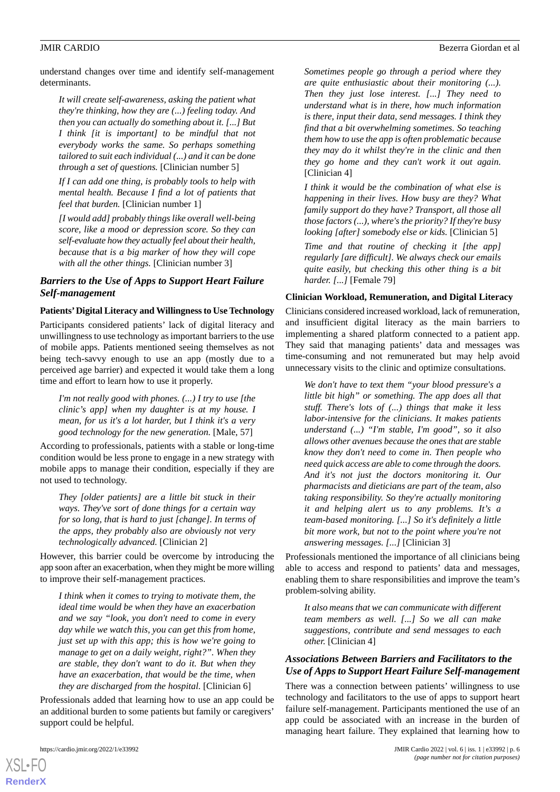understand changes over time and identify self-management determinants.

*It will create self-awareness, asking the patient what they're thinking, how they are (...) feeling today. And then you can actually do something about it. [...] But I think [it is important] to be mindful that not everybody works the same. So perhaps something tailored to suit each individual (...) and it can be done through a set of questions.* [Clinician number 5]

*If I can add one thing, is probably tools to help with mental health. Because I find a lot of patients that feel that burden.* [Clinician number 1]

*[I would add] probably things like overall well-being score, like a mood or depression score. So they can self-evaluate how they actually feel about their health, because that is a big marker of how they will cope with all the other things.* [Clinician number 3]

### *Barriers to the Use of Apps to Support Heart Failure Self-management*

#### **Patients'Digital Literacy and Willingness to Use Technology**

Participants considered patients' lack of digital literacy and unwillingness to use technology as important barriers to the use of mobile apps. Patients mentioned seeing themselves as not being tech-savvy enough to use an app (mostly due to a perceived age barrier) and expected it would take them a long time and effort to learn how to use it properly.

*I'm not really good with phones. (...) I try to use [the clinic's app] when my daughter is at my house. I mean, for us it's a lot harder, but I think it's a very good technology for the new generation.* [Male, 57]

According to professionals, patients with a stable or long-time condition would be less prone to engage in a new strategy with mobile apps to manage their condition, especially if they are not used to technology.

*They [older patients] are a little bit stuck in their ways. They've sort of done things for a certain way for so long, that is hard to just [change]. In terms of the apps, they probably also are obviously not very technologically advanced.* [Clinician 2]

However, this barrier could be overcome by introducing the app soon after an exacerbation, when they might be more willing to improve their self-management practices.

*I think when it comes to trying to motivate them, the ideal time would be when they have an exacerbation and we say "look, you don't need to come in every day while we watch this, you can get this from home, just set up with this app; this is how we're going to manage to get on a daily weight, right?". When they are stable, they don't want to do it. But when they have an exacerbation, that would be the time, when they are discharged from the hospital.* [Clinician 6]

Professionals added that learning how to use an app could be an additional burden to some patients but family or caregivers' support could be helpful.

[XSL](http://www.w3.org/Style/XSL)•FO **[RenderX](http://www.renderx.com/)**

*Sometimes people go through a period where they are quite enthusiastic about their monitoring (...). Then they just lose interest. [...] They need to understand what is in there, how much information is there, input their data, send messages. I think they find that a bit overwhelming sometimes. So teaching them how to use the app is often problematic because they may do it whilst they're in the clinic and then they go home and they can't work it out again.* [Clinician 4]

*I think it would be the combination of what else is happening in their lives. How busy are they? What family support do they have? Transport, all those all those factors (...), where's the priority? If they're busy looking [after] somebody else or kids.* [Clinician 5]

*Time and that routine of checking it [the app] regularly [are difficult]. We always check our emails quite easily, but checking this other thing is a bit harder. [...]* [Female 79]

#### **Clinician Workload, Remuneration, and Digital Literacy**

Clinicians considered increased workload, lack of remuneration, and insufficient digital literacy as the main barriers to implementing a shared platform connected to a patient app. They said that managing patients' data and messages was time-consuming and not remunerated but may help avoid unnecessary visits to the clinic and optimize consultations.

*We don't have to text them "your blood pressure's a little bit high" or something. The app does all that stuff. There's lots of (...) things that make it less labor-intensive for the clinicians. It makes patients understand (...) "I'm stable, I'm good", so it also allows other avenues because the ones that are stable know they don't need to come in. Then people who need quick access are able to come through the doors. And it's not just the doctors monitoring it. Our pharmacists and dieticians are part of the team, also taking responsibility. So they're actually monitoring it and helping alert us to any problems. It's a team-based monitoring. [...] So it's definitely a little bit more work, but not to the point where you're not answering messages. [...]* [Clinician 3]

Professionals mentioned the importance of all clinicians being able to access and respond to patients' data and messages, enabling them to share responsibilities and improve the team's problem-solving ability.

*It also means that we can communicate with different team members as well. [...] So we all can make suggestions, contribute and send messages to each other.* [Clinician 4]

### *Associations Between Barriers and Facilitators to the Use of Apps to Support Heart Failure Self-management*

There was a connection between patients' willingness to use technology and facilitators to the use of apps to support heart failure self-management. Participants mentioned the use of an app could be associated with an increase in the burden of managing heart failure. They explained that learning how to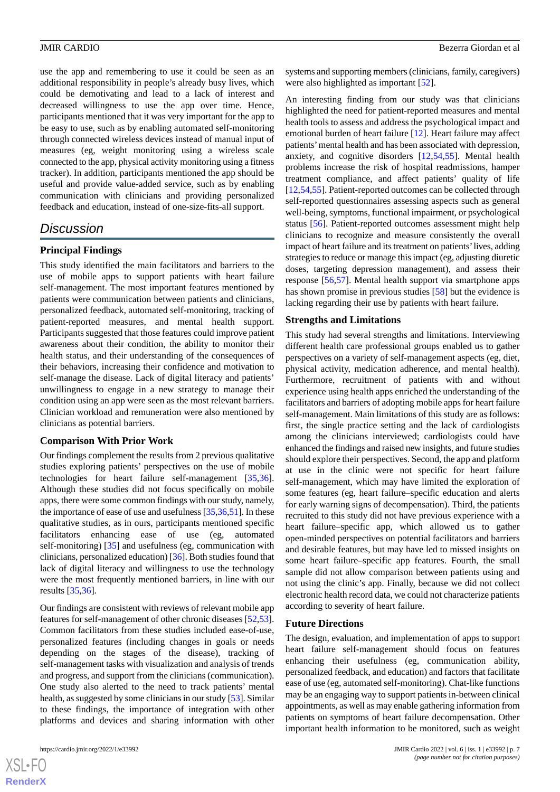use the app and remembering to use it could be seen as an additional responsibility in people's already busy lives, which could be demotivating and lead to a lack of interest and decreased willingness to use the app over time. Hence, participants mentioned that it was very important for the app to be easy to use, such as by enabling automated self-monitoring through connected wireless devices instead of manual input of measures (eg, weight monitoring using a wireless scale connected to the app, physical activity monitoring using a fitness tracker). In addition, participants mentioned the app should be useful and provide value-added service, such as by enabling communication with clinicians and providing personalized feedback and education, instead of one-size-fits-all support.

# *Discussion*

#### **Principal Findings**

This study identified the main facilitators and barriers to the use of mobile apps to support patients with heart failure self-management. The most important features mentioned by patients were communication between patients and clinicians, personalized feedback, automated self-monitoring, tracking of patient-reported measures, and mental health support. Participants suggested that those features could improve patient awareness about their condition, the ability to monitor their health status, and their understanding of the consequences of their behaviors, increasing their confidence and motivation to self-manage the disease. Lack of digital literacy and patients' unwillingness to engage in a new strategy to manage their condition using an app were seen as the most relevant barriers. Clinician workload and remuneration were also mentioned by clinicians as potential barriers.

#### **Comparison With Prior Work**

Our findings complement the results from 2 previous qualitative studies exploring patients' perspectives on the use of mobile technologies for heart failure self-management [\[35](#page-9-4),[36\]](#page-9-5). Although these studies did not focus specifically on mobile apps, there were some common findings with our study, namely, the importance of ease of use and usefulness [\[35](#page-9-4),[36](#page-9-5),[51\]](#page-10-3). In these qualitative studies, as in ours, participants mentioned specific facilitators enhancing ease of use (eg, automated self-monitoring) [\[35](#page-9-4)] and usefulness (eg, communication with clinicians, personalized education) [[36\]](#page-9-5). Both studies found that lack of digital literacy and willingness to use the technology were the most frequently mentioned barriers, in line with our results [\[35](#page-9-4),[36\]](#page-9-5).

Our findings are consistent with reviews of relevant mobile app features for self-management of other chronic diseases [\[52](#page-10-4),[53\]](#page-10-5). Common facilitators from these studies included ease-of-use, personalized features (including changes in goals or needs depending on the stages of the disease), tracking of self-management tasks with visualization and analysis of trends and progress, and support from the clinicians (communication). One study also alerted to the need to track patients' mental health, as suggested by some clinicians in our study [[53](#page-10-5)]. Similar to these findings, the importance of integration with other platforms and devices and sharing information with other

 $XS$ -FO **[RenderX](http://www.renderx.com/)** systems and supporting members (clinicians, family, caregivers) were also highlighted as important [[52\]](#page-10-4).

An interesting finding from our study was that clinicians highlighted the need for patient-reported measures and mental health tools to assess and address the psychological impact and emotional burden of heart failure [\[12](#page-8-6)]. Heart failure may affect patients'mental health and has been associated with depression, anxiety, and cognitive disorders [\[12](#page-8-6),[54,](#page-10-6)[55](#page-10-7)]. Mental health problems increase the risk of hospital readmissions, hamper treatment compliance, and affect patients' quality of life [[12,](#page-8-6)[54,](#page-10-6)[55\]](#page-10-7). Patient-reported outcomes can be collected through self-reported questionnaires assessing aspects such as general well-being, symptoms, functional impairment, or psychological status [\[56](#page-10-8)]. Patient-reported outcomes assessment might help clinicians to recognize and measure consistently the overall impact of heart failure and its treatment on patients'lives, adding strategies to reduce or manage this impact (eg, adjusting diuretic doses, targeting depression management), and assess their response [\[56](#page-10-8),[57\]](#page-10-9). Mental health support via smartphone apps has shown promise in previous studies [[58\]](#page-10-10) but the evidence is lacking regarding their use by patients with heart failure.

### **Strengths and Limitations**

This study had several strengths and limitations. Interviewing different health care professional groups enabled us to gather perspectives on a variety of self-management aspects (eg, diet, physical activity, medication adherence, and mental health). Furthermore, recruitment of patients with and without experience using health apps enriched the understanding of the facilitators and barriers of adopting mobile apps for heart failure self-management. Main limitations of this study are as follows: first, the single practice setting and the lack of cardiologists among the clinicians interviewed; cardiologists could have enhanced the findings and raised new insights, and future studies should explore their perspectives. Second, the app and platform at use in the clinic were not specific for heart failure self-management, which may have limited the exploration of some features (eg, heart failure–specific education and alerts for early warning signs of decompensation). Third, the patients recruited to this study did not have previous experience with a heart failure–specific app, which allowed us to gather open-minded perspectives on potential facilitators and barriers and desirable features, but may have led to missed insights on some heart failure–specific app features. Fourth, the small sample did not allow comparison between patients using and not using the clinic's app. Finally, because we did not collect electronic health record data, we could not characterize patients according to severity of heart failure.

#### **Future Directions**

The design, evaluation, and implementation of apps to support heart failure self-management should focus on features enhancing their usefulness (eg, communication ability, personalized feedback, and education) and factors that facilitate ease of use (eg, automated self-monitoring). Chat-like functions may be an engaging way to support patients in-between clinical appointments, as well as may enable gathering information from patients on symptoms of heart failure decompensation. Other important health information to be monitored, such as weight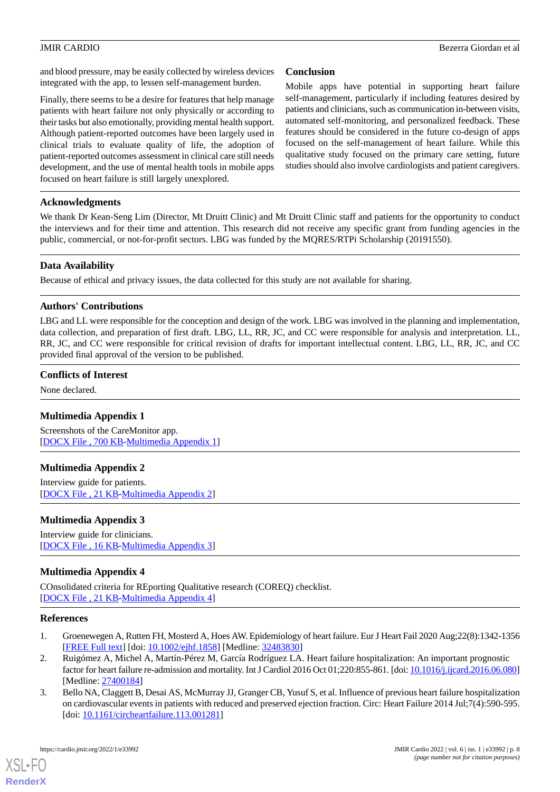and blood pressure, may be easily collected by wireless devices integrated with the app, to lessen self-management burden.

Finally, there seems to be a desire for features that help manage patients with heart failure not only physically or according to their tasks but also emotionally, providing mental health support. Although patient-reported outcomes have been largely used in clinical trials to evaluate quality of life, the adoption of patient-reported outcomes assessment in clinical care still needs development, and the use of mental health tools in mobile apps focused on heart failure is still largely unexplored.

### **Conclusion**

Mobile apps have potential in supporting heart failure self-management, particularly if including features desired by patients and clinicians, such as communication in-between visits, automated self-monitoring, and personalized feedback. These features should be considered in the future co-design of apps focused on the self-management of heart failure. While this qualitative study focused on the primary care setting, future studies should also involve cardiologists and patient caregivers.

### **Acknowledgments**

We thank Dr Kean-Seng Lim (Director, Mt Druitt Clinic) and Mt Druitt Clinic staff and patients for the opportunity to conduct the interviews and for their time and attention. This research did not receive any specific grant from funding agencies in the public, commercial, or not-for-profit sectors. LBG was funded by the MQRES/RTPi Scholarship (20191550).

### **Data Availability**

Because of ethical and privacy issues, the data collected for this study are not available for sharing.

#### **Authors' Contributions**

LBG and LL were responsible for the conception and design of the work. LBG was involved in the planning and implementation, data collection, and preparation of first draft. LBG, LL, RR, JC, and CC were responsible for analysis and interpretation. LL, RR, JC, and CC were responsible for critical revision of drafts for important intellectual content. LBG, LL, RR, JC, and CC provided final approval of the version to be published.

#### <span id="page-7-3"></span>**Conflicts of Interest**

None declared.

### <span id="page-7-4"></span>**Multimedia Appendix 1**

Screenshots of the CareMonitor app. [[DOCX File , 700 KB-Multimedia Appendix 1\]](https://jmir.org/api/download?alt_name=cardio_v6i1e33992_app1.docx&filename=2ea8b22562e214cf297c90eb015ca202.docx)

### <span id="page-7-5"></span>**Multimedia Appendix 2**

Interview guide for patients. [[DOCX File , 21 KB](https://jmir.org/api/download?alt_name=cardio_v6i1e33992_app2.docx&filename=e1167783d7a75adf9d2197b7417ad281.docx)-[Multimedia Appendix 2\]](https://jmir.org/api/download?alt_name=cardio_v6i1e33992_app2.docx&filename=e1167783d7a75adf9d2197b7417ad281.docx)

#### <span id="page-7-6"></span>**Multimedia Appendix 3**

Interview guide for clinicians. [[DOCX File , 16 KB](https://jmir.org/api/download?alt_name=cardio_v6i1e33992_app3.docx&filename=c08a0fe544983ef5fff40b2108d217bd.docx)-[Multimedia Appendix 3\]](https://jmir.org/api/download?alt_name=cardio_v6i1e33992_app3.docx&filename=c08a0fe544983ef5fff40b2108d217bd.docx)

#### <span id="page-7-0"></span>**Multimedia Appendix 4**

<span id="page-7-1"></span>COnsolidated criteria for REporting Qualitative research (COREQ) checklist. [[DOCX File , 21 KB](https://jmir.org/api/download?alt_name=cardio_v6i1e33992_app4.docx&filename=ff08ec139f6e7d11e21a84977ff0a5e4.docx)-[Multimedia Appendix 4\]](https://jmir.org/api/download?alt_name=cardio_v6i1e33992_app4.docx&filename=ff08ec139f6e7d11e21a84977ff0a5e4.docx)

#### <span id="page-7-2"></span>**References**

- 1. Groenewegen A, Rutten FH, Mosterd A, Hoes AW. Epidemiology of heart failure. Eur J Heart Fail 2020 Aug;22(8):1342-1356 [[FREE Full text](https://doi.org/10.1002/ejhf.1858)] [doi: [10.1002/ejhf.1858\]](http://dx.doi.org/10.1002/ejhf.1858) [Medline: [32483830\]](http://www.ncbi.nlm.nih.gov/entrez/query.fcgi?cmd=Retrieve&db=PubMed&list_uids=32483830&dopt=Abstract)
- 2. Ruigómez A, Michel A, Martín-Pérez M, García Rodríguez LA. Heart failure hospitalization: An important prognostic factor for heart failure re-admission and mortality. Int J Cardiol 2016 Oct 01;220:855-861. [doi: [10.1016/j.ijcard.2016.06.080\]](http://dx.doi.org/10.1016/j.ijcard.2016.06.080) [Medline: [27400184](http://www.ncbi.nlm.nih.gov/entrez/query.fcgi?cmd=Retrieve&db=PubMed&list_uids=27400184&dopt=Abstract)]
- 3. Bello NA, Claggett B, Desai AS, McMurray JJ, Granger CB, Yusuf S, et al. Influence of previous heart failure hospitalization on cardiovascular events in patients with reduced and preserved ejection fraction. Circ: Heart Failure 2014 Jul;7(4):590-595. [doi: [10.1161/circheartfailure.113.001281](http://dx.doi.org/10.1161/circheartfailure.113.001281)]

[XSL](http://www.w3.org/Style/XSL)•FO **[RenderX](http://www.renderx.com/)**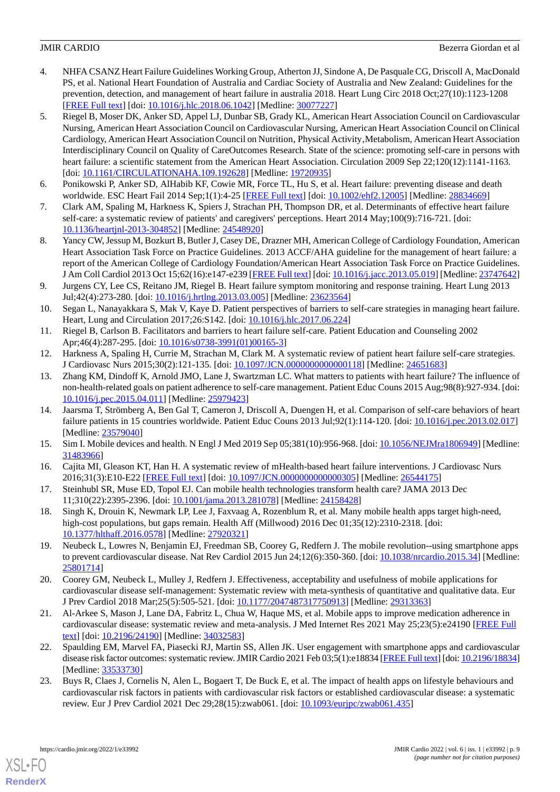- <span id="page-8-0"></span>4. NHFA CSANZ Heart Failure Guidelines Working Group, Atherton JJ, Sindone A, De Pasquale CG, Driscoll A, MacDonald PS, et al. National Heart Foundation of Australia and Cardiac Society of Australia and New Zealand: Guidelines for the prevention, detection, and management of heart failure in australia 2018. Heart Lung Circ 2018 Oct;27(10):1123-1208 [[FREE Full text](https://linkinghub.elsevier.com/retrieve/pii/S1443-9506(18)31777-3)] [doi: [10.1016/j.hlc.2018.06.1042\]](http://dx.doi.org/10.1016/j.hlc.2018.06.1042) [Medline: [30077227\]](http://www.ncbi.nlm.nih.gov/entrez/query.fcgi?cmd=Retrieve&db=PubMed&list_uids=30077227&dopt=Abstract)
- <span id="page-8-2"></span>5. Riegel B, Moser DK, Anker SD, Appel LJ, Dunbar SB, Grady KL, American Heart Association Council on Cardiovascular Nursing, American Heart Association Council on Cardiovascular Nursing, American Heart Association Council on Clinical Cardiology, American Heart Association Council on Nutrition, Physical Activity, Metabolism, American Heart Association Interdisciplinary Council on Quality of CareOutcomes Research. State of the science: promoting self-care in persons with heart failure: a scientific statement from the American Heart Association. Circulation 2009 Sep 22;120(12):1141-1163. [doi: [10.1161/CIRCULATIONAHA.109.192628](http://dx.doi.org/10.1161/CIRCULATIONAHA.109.192628)] [Medline: [19720935\]](http://www.ncbi.nlm.nih.gov/entrez/query.fcgi?cmd=Retrieve&db=PubMed&list_uids=19720935&dopt=Abstract)
- <span id="page-8-3"></span><span id="page-8-1"></span>6. Ponikowski P, Anker SD, AlHabib KF, Cowie MR, Force TL, Hu S, et al. Heart failure: preventing disease and death worldwide. ESC Heart Fail 2014 Sep;1(1):4-25 [[FREE Full text\]](https://doi.org/10.1002/ehf2.12005) [doi: [10.1002/ehf2.12005\]](http://dx.doi.org/10.1002/ehf2.12005) [Medline: [28834669\]](http://www.ncbi.nlm.nih.gov/entrez/query.fcgi?cmd=Retrieve&db=PubMed&list_uids=28834669&dopt=Abstract)
- <span id="page-8-4"></span>7. Clark AM, Spaling M, Harkness K, Spiers J, Strachan PH, Thompson DR, et al. Determinants of effective heart failure self-care: a systematic review of patients' and caregivers' perceptions. Heart 2014 May;100(9):716-721. [doi: [10.1136/heartjnl-2013-304852](http://dx.doi.org/10.1136/heartjnl-2013-304852)] [Medline: [24548920\]](http://www.ncbi.nlm.nih.gov/entrez/query.fcgi?cmd=Retrieve&db=PubMed&list_uids=24548920&dopt=Abstract)
- <span id="page-8-5"></span>8. Yancy CW, Jessup M, Bozkurt B, Butler J, Casey DE, Drazner MH, American College of Cardiology Foundation, American Heart Association Task Force on Practice Guidelines. 2013 ACCF/AHA guideline for the management of heart failure: a report of the American College of Cardiology Foundation/American Heart Association Task Force on Practice Guidelines. J Am Coll Cardiol 2013 Oct 15;62(16):e147-e239 [\[FREE Full text\]](https://linkinghub.elsevier.com/retrieve/pii/S0735-1097(13)02114-1) [doi: [10.1016/j.jacc.2013.05.019\]](http://dx.doi.org/10.1016/j.jacc.2013.05.019) [Medline: [23747642](http://www.ncbi.nlm.nih.gov/entrez/query.fcgi?cmd=Retrieve&db=PubMed&list_uids=23747642&dopt=Abstract)]
- 9. Jurgens CY, Lee CS, Reitano JM, Riegel B. Heart failure symptom monitoring and response training. Heart Lung 2013 Jul;42(4):273-280. [doi: [10.1016/j.hrtlng.2013.03.005](http://dx.doi.org/10.1016/j.hrtlng.2013.03.005)] [Medline: [23623564\]](http://www.ncbi.nlm.nih.gov/entrez/query.fcgi?cmd=Retrieve&db=PubMed&list_uids=23623564&dopt=Abstract)
- <span id="page-8-7"></span><span id="page-8-6"></span>10. Segan L, Nanayakkara S, Mak V, Kaye D. Patient perspectives of barriers to self-care strategies in managing heart failure. Heart, Lung and Circulation 2017;26:S142. [doi: [10.1016/j.hlc.2017.06.224\]](http://dx.doi.org/10.1016/j.hlc.2017.06.224)
- <span id="page-8-8"></span>11. Riegel B, Carlson B. Facilitators and barriers to heart failure self-care. Patient Education and Counseling 2002 Apr;46(4):287-295. [doi: [10.1016/s0738-3991\(01\)00165-3\]](http://dx.doi.org/10.1016/s0738-3991(01)00165-3)
- 12. Harkness A, Spaling H, Currie M, Strachan M, Clark M. A systematic review of patient heart failure self-care strategies. J Cardiovasc Nurs 2015;30(2):121-135. [doi: [10.1097/JCN.0000000000000118](http://dx.doi.org/10.1097/JCN.0000000000000118)] [Medline: [24651683](http://www.ncbi.nlm.nih.gov/entrez/query.fcgi?cmd=Retrieve&db=PubMed&list_uids=24651683&dopt=Abstract)]
- <span id="page-8-9"></span>13. Zhang KM, Dindoff K, Arnold JMO, Lane J, Swartzman LC. What matters to patients with heart failure? The influence of non-health-related goals on patient adherence to self-care management. Patient Educ Couns 2015 Aug;98(8):927-934. [doi: [10.1016/j.pec.2015.04.011\]](http://dx.doi.org/10.1016/j.pec.2015.04.011) [Medline: [25979423](http://www.ncbi.nlm.nih.gov/entrez/query.fcgi?cmd=Retrieve&db=PubMed&list_uids=25979423&dopt=Abstract)]
- <span id="page-8-11"></span><span id="page-8-10"></span>14. Jaarsma T, Strömberg A, Ben Gal T, Cameron J, Driscoll A, Duengen H, et al. Comparison of self-care behaviors of heart failure patients in 15 countries worldwide. Patient Educ Couns 2013 Jul;92(1):114-120. [doi: [10.1016/j.pec.2013.02.017\]](http://dx.doi.org/10.1016/j.pec.2013.02.017) [Medline: [23579040](http://www.ncbi.nlm.nih.gov/entrez/query.fcgi?cmd=Retrieve&db=PubMed&list_uids=23579040&dopt=Abstract)]
- <span id="page-8-13"></span>15. Sim I. Mobile devices and health. N Engl J Med 2019 Sep 05;381(10):956-968. [doi: [10.1056/NEJMra1806949\]](http://dx.doi.org/10.1056/NEJMra1806949) [Medline: [31483966](http://www.ncbi.nlm.nih.gov/entrez/query.fcgi?cmd=Retrieve&db=PubMed&list_uids=31483966&dopt=Abstract)]
- <span id="page-8-12"></span>16. Cajita MI, Gleason KT, Han H. A systematic review of mHealth-based heart failure interventions. J Cardiovasc Nurs 2016;31(3):E10-E22 [\[FREE Full text\]](http://europepmc.org/abstract/MED/26544175) [doi: [10.1097/JCN.0000000000000305](http://dx.doi.org/10.1097/JCN.0000000000000305)] [Medline: [26544175](http://www.ncbi.nlm.nih.gov/entrez/query.fcgi?cmd=Retrieve&db=PubMed&list_uids=26544175&dopt=Abstract)]
- <span id="page-8-14"></span>17. Steinhubl SR, Muse ED, Topol EJ. Can mobile health technologies transform health care? JAMA 2013 Dec 11;310(22):2395-2396. [doi: [10.1001/jama.2013.281078](http://dx.doi.org/10.1001/jama.2013.281078)] [Medline: [24158428\]](http://www.ncbi.nlm.nih.gov/entrez/query.fcgi?cmd=Retrieve&db=PubMed&list_uids=24158428&dopt=Abstract)
- 18. Singh K, Drouin K, Newmark LP, Lee J, Faxvaag A, Rozenblum R, et al. Many mobile health apps target high-need, high-cost populations, but gaps remain. Health Aff (Millwood) 2016 Dec 01;35(12):2310-2318. [doi: [10.1377/hlthaff.2016.0578](http://dx.doi.org/10.1377/hlthaff.2016.0578)] [Medline: [27920321\]](http://www.ncbi.nlm.nih.gov/entrez/query.fcgi?cmd=Retrieve&db=PubMed&list_uids=27920321&dopt=Abstract)
- 19. Neubeck L, Lowres N, Benjamin EJ, Freedman SB, Coorey G, Redfern J. The mobile revolution--using smartphone apps to prevent cardiovascular disease. Nat Rev Cardiol 2015 Jun 24;12(6):350-360. [doi: [10.1038/nrcardio.2015.34\]](http://dx.doi.org/10.1038/nrcardio.2015.34) [Medline: [25801714](http://www.ncbi.nlm.nih.gov/entrez/query.fcgi?cmd=Retrieve&db=PubMed&list_uids=25801714&dopt=Abstract)]
- 20. Coorey GM, Neubeck L, Mulley J, Redfern J. Effectiveness, acceptability and usefulness of mobile applications for cardiovascular disease self-management: Systematic review with meta-synthesis of quantitative and qualitative data. Eur J Prev Cardiol 2018 Mar;25(5):505-521. [doi: [10.1177/2047487317750913](http://dx.doi.org/10.1177/2047487317750913)] [Medline: [29313363](http://www.ncbi.nlm.nih.gov/entrez/query.fcgi?cmd=Retrieve&db=PubMed&list_uids=29313363&dopt=Abstract)]
- <span id="page-8-15"></span>21. Al-Arkee S, Mason J, Lane DA, Fabritz L, Chua W, Haque MS, et al. Mobile apps to improve medication adherence in cardiovascular disease: systematic review and meta-analysis. J Med Internet Res 2021 May 25;23(5):e24190 [\[FREE Full](https://www.jmir.org/2021/5/e24190/) [text](https://www.jmir.org/2021/5/e24190/)] [doi: [10.2196/24190\]](http://dx.doi.org/10.2196/24190) [Medline: [34032583\]](http://www.ncbi.nlm.nih.gov/entrez/query.fcgi?cmd=Retrieve&db=PubMed&list_uids=34032583&dopt=Abstract)
- 22. Spaulding EM, Marvel FA, Piasecki RJ, Martin SS, Allen JK. User engagement with smartphone apps and cardiovascular disease risk factor outcomes: systematic review. JMIR Cardio 2021 Feb 03;5(1):e18834 [[FREE Full text](https://cardio.jmir.org/2021/1/e18834/)] [doi: [10.2196/18834\]](http://dx.doi.org/10.2196/18834) [Medline: [33533730](http://www.ncbi.nlm.nih.gov/entrez/query.fcgi?cmd=Retrieve&db=PubMed&list_uids=33533730&dopt=Abstract)]
- 23. Buys R, Claes J, Cornelis N, Alen L, Bogaert T, De Buck E, et al. The impact of health apps on lifestyle behaviours and cardiovascular risk factors in patients with cardiovascular risk factors or established cardiovascular disease: a systematic review. Eur J Prev Cardiol 2021 Dec 29;28(15):zwab061. [doi: [10.1093/eurjpc/zwab061.435](http://dx.doi.org/10.1093/eurjpc/zwab061.435)]

[XSL](http://www.w3.org/Style/XSL)•FO **[RenderX](http://www.renderx.com/)**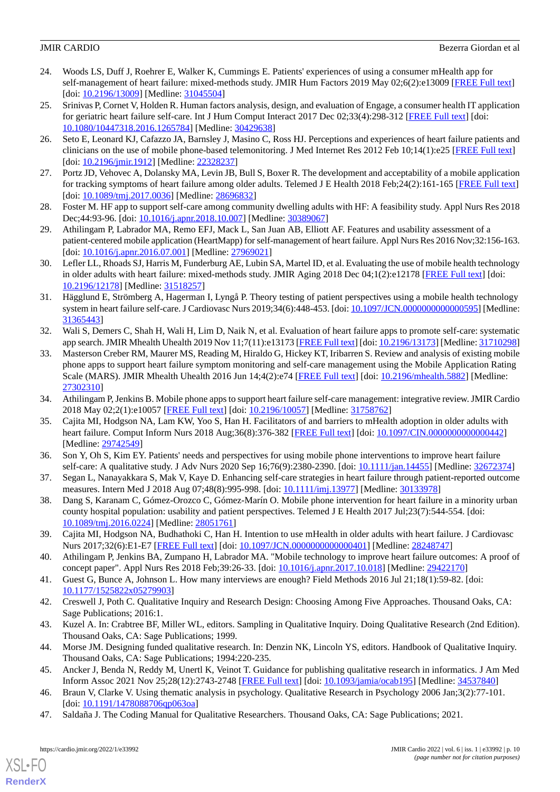- <span id="page-9-0"></span>24. Woods LS, Duff J, Roehrer E, Walker K, Cummings E. Patients' experiences of using a consumer mHealth app for self-management of heart failure: mixed-methods study. JMIR Hum Factors 2019 May 02;6(2):e13009 [[FREE Full text\]](https://humanfactors.jmir.org/2019/2/e13009/) [doi: [10.2196/13009](http://dx.doi.org/10.2196/13009)] [Medline: [31045504\]](http://www.ncbi.nlm.nih.gov/entrez/query.fcgi?cmd=Retrieve&db=PubMed&list_uids=31045504&dopt=Abstract)
- 25. Srinivas P, Cornet V, Holden R. Human factors analysis, design, and evaluation of Engage, a consumer health IT application for geriatric heart failure self-care. Int J Hum Comput Interact 2017 Dec 02;33(4):298-312 [[FREE Full text](http://europepmc.org/abstract/MED/30429638)] [doi: [10.1080/10447318.2016.1265784\]](http://dx.doi.org/10.1080/10447318.2016.1265784) [Medline: [30429638\]](http://www.ncbi.nlm.nih.gov/entrez/query.fcgi?cmd=Retrieve&db=PubMed&list_uids=30429638&dopt=Abstract)
- 26. Seto E, Leonard KJ, Cafazzo JA, Barnsley J, Masino C, Ross HJ. Perceptions and experiences of heart failure patients and clinicians on the use of mobile phone-based telemonitoring. J Med Internet Res 2012 Feb 10;14(1):e25 [\[FREE Full text\]](https://www.jmir.org/2012/1/e25/) [doi: [10.2196/jmir.1912\]](http://dx.doi.org/10.2196/jmir.1912) [Medline: [22328237\]](http://www.ncbi.nlm.nih.gov/entrez/query.fcgi?cmd=Retrieve&db=PubMed&list_uids=22328237&dopt=Abstract)
- <span id="page-9-6"></span>27. Portz JD, Vehovec A, Dolansky MA, Levin JB, Bull S, Boxer R. The development and acceptability of a mobile application for tracking symptoms of heart failure among older adults. Telemed J E Health 2018 Feb;24(2):161-165 [[FREE Full text](http://europepmc.org/abstract/MED/28696832)] [doi: [10.1089/tmj.2017.0036\]](http://dx.doi.org/10.1089/tmj.2017.0036) [Medline: [28696832](http://www.ncbi.nlm.nih.gov/entrez/query.fcgi?cmd=Retrieve&db=PubMed&list_uids=28696832&dopt=Abstract)]
- 28. Foster M. HF app to support self-care among community dwelling adults with HF: A feasibility study. Appl Nurs Res 2018 Dec;44:93-96. [doi: [10.1016/j.apnr.2018.10.007](http://dx.doi.org/10.1016/j.apnr.2018.10.007)] [Medline: [30389067\]](http://www.ncbi.nlm.nih.gov/entrez/query.fcgi?cmd=Retrieve&db=PubMed&list_uids=30389067&dopt=Abstract)
- 29. Athilingam P, Labrador MA, Remo EFJ, Mack L, San Juan AB, Elliott AF. Features and usability assessment of a patient-centered mobile application (HeartMapp) for self-management of heart failure. Appl Nurs Res 2016 Nov;32:156-163. [doi: [10.1016/j.apnr.2016.07.001](http://dx.doi.org/10.1016/j.apnr.2016.07.001)] [Medline: [27969021\]](http://www.ncbi.nlm.nih.gov/entrez/query.fcgi?cmd=Retrieve&db=PubMed&list_uids=27969021&dopt=Abstract)
- <span id="page-9-1"></span>30. Lefler LL, Rhoads SJ, Harris M, Funderburg AE, Lubin SA, Martel ID, et al. Evaluating the use of mobile health technology in older adults with heart failure: mixed-methods study. JMIR Aging 2018 Dec 04;1(2):e12178 [\[FREE Full text\]](https://aging.jmir.org/2018/2/e12178/) [doi: [10.2196/12178\]](http://dx.doi.org/10.2196/12178) [Medline: [31518257\]](http://www.ncbi.nlm.nih.gov/entrez/query.fcgi?cmd=Retrieve&db=PubMed&list_uids=31518257&dopt=Abstract)
- <span id="page-9-2"></span>31. Hägglund E, Strömberg A, Hagerman I, Lyngå P. Theory testing of patient perspectives using a mobile health technology system in heart failure self-care. J Cardiovasc Nurs 2019;34(6):448-453. [doi: [10.1097/JCN.0000000000000595](http://dx.doi.org/10.1097/JCN.0000000000000595)] [Medline: [31365443](http://www.ncbi.nlm.nih.gov/entrez/query.fcgi?cmd=Retrieve&db=PubMed&list_uids=31365443&dopt=Abstract)]
- 32. Wali S, Demers C, Shah H, Wali H, Lim D, Naik N, et al. Evaluation of heart failure apps to promote self-care: systematic app search. JMIR Mhealth Uhealth 2019 Nov 11;7(11):e13173 [\[FREE Full text](https://mhealth.jmir.org/2019/11/e13173/)] [doi: [10.2196/13173](http://dx.doi.org/10.2196/13173)] [Medline: [31710298](http://www.ncbi.nlm.nih.gov/entrez/query.fcgi?cmd=Retrieve&db=PubMed&list_uids=31710298&dopt=Abstract)]
- <span id="page-9-3"></span>33. Masterson Creber RM, Maurer MS, Reading M, Hiraldo G, Hickey KT, Iribarren S. Review and analysis of existing mobile phone apps to support heart failure symptom monitoring and self-care management using the Mobile Application Rating Scale (MARS). JMIR Mhealth Uhealth 2016 Jun 14;4(2):e74 [\[FREE Full text\]](https://mhealth.jmir.org/2016/2/e74/) [doi: [10.2196/mhealth.5882\]](http://dx.doi.org/10.2196/mhealth.5882) [Medline: [27302310](http://www.ncbi.nlm.nih.gov/entrez/query.fcgi?cmd=Retrieve&db=PubMed&list_uids=27302310&dopt=Abstract)]
- <span id="page-9-4"></span>34. Athilingam P, Jenkins B. Mobile phone apps to support heart failure self-care management: integrative review. JMIR Cardio 2018 May 02;2(1):e10057 [\[FREE Full text\]](https://cardio.jmir.org/2018/1/e10057/) [doi: [10.2196/10057](http://dx.doi.org/10.2196/10057)] [Medline: [31758762](http://www.ncbi.nlm.nih.gov/entrez/query.fcgi?cmd=Retrieve&db=PubMed&list_uids=31758762&dopt=Abstract)]
- <span id="page-9-7"></span><span id="page-9-5"></span>35. Cajita MI, Hodgson NA, Lam KW, Yoo S, Han H. Facilitators of and barriers to mHealth adoption in older adults with heart failure. Comput Inform Nurs 2018 Aug;36(8):376-382 [\[FREE Full text\]](http://europepmc.org/abstract/MED/29742549) [doi: 10.1097/CIN.000000000000442] [Medline: [29742549](http://www.ncbi.nlm.nih.gov/entrez/query.fcgi?cmd=Retrieve&db=PubMed&list_uids=29742549&dopt=Abstract)]
- 36. Son Y, Oh S, Kim EY. Patients' needs and perspectives for using mobile phone interventions to improve heart failure self-care: A qualitative study. J Adv Nurs 2020 Sep 16;76(9):2380-2390. [doi: [10.1111/jan.14455](http://dx.doi.org/10.1111/jan.14455)] [Medline: [32672374](http://www.ncbi.nlm.nih.gov/entrez/query.fcgi?cmd=Retrieve&db=PubMed&list_uids=32672374&dopt=Abstract)]
- 37. Segan L, Nanayakkara S, Mak V, Kaye D. Enhancing self-care strategies in heart failure through patient-reported outcome measures. Intern Med J 2018 Aug 07;48(8):995-998. [doi: [10.1111/imj.13977\]](http://dx.doi.org/10.1111/imj.13977) [Medline: [30133978](http://www.ncbi.nlm.nih.gov/entrez/query.fcgi?cmd=Retrieve&db=PubMed&list_uids=30133978&dopt=Abstract)]
- <span id="page-9-8"></span>38. Dang S, Karanam C, Gómez-Orozco C, Gómez-Marín O. Mobile phone intervention for heart failure in a minority urban county hospital population: usability and patient perspectives. Telemed J E Health 2017 Jul;23(7):544-554. [doi: [10.1089/tmj.2016.0224](http://dx.doi.org/10.1089/tmj.2016.0224)] [Medline: [28051761\]](http://www.ncbi.nlm.nih.gov/entrez/query.fcgi?cmd=Retrieve&db=PubMed&list_uids=28051761&dopt=Abstract)
- <span id="page-9-9"></span>39. Cajita MI, Hodgson NA, Budhathoki C, Han H. Intention to use mHealth in older adults with heart failure. J Cardiovasc Nurs 2017;32(6):E1-E7 [\[FREE Full text\]](http://europepmc.org/abstract/MED/28248747) [doi: [10.1097/JCN.0000000000000401](http://dx.doi.org/10.1097/JCN.0000000000000401)] [Medline: [28248747](http://www.ncbi.nlm.nih.gov/entrez/query.fcgi?cmd=Retrieve&db=PubMed&list_uids=28248747&dopt=Abstract)]
- 40. Athilingam P, Jenkins BA, Zumpano H, Labrador MA. "Mobile technology to improve heart failure outcomes: A proof of concept paper". Appl Nurs Res 2018 Feb;39:26-33. [doi: [10.1016/j.apnr.2017.10.018](http://dx.doi.org/10.1016/j.apnr.2017.10.018)] [Medline: [29422170](http://www.ncbi.nlm.nih.gov/entrez/query.fcgi?cmd=Retrieve&db=PubMed&list_uids=29422170&dopt=Abstract)]
- 41. Guest G, Bunce A, Johnson L. How many interviews are enough? Field Methods 2016 Jul 21;18(1):59-82. [doi: [10.1177/1525822x05279903\]](http://dx.doi.org/10.1177/1525822x05279903)
- <span id="page-9-10"></span>42. Creswell J, Poth C. Qualitative Inquiry and Research Design: Choosing Among Five Approaches. Thousand Oaks, CA: Sage Publications; 2016:1.
- <span id="page-9-11"></span>43. Kuzel A. In: Crabtree BF, Miller WL, editors. Sampling in Qualitative Inquiry. Doing Qualitative Research (2nd Edition). Thousand Oaks, CA: Sage Publications; 1999.
- <span id="page-9-12"></span>44. Morse JM. Designing funded qualitative research. In: Denzin NK, Lincoln YS, editors. Handbook of Qualitative Inquiry. Thousand Oaks, CA: Sage Publications; 1994:220-235.
- 45. Ancker J, Benda N, Reddy M, Unertl K, Veinot T. Guidance for publishing qualitative research in informatics. J Am Med Inform Assoc 2021 Nov 25;28(12):2743-2748 [\[FREE Full text\]](http://europepmc.org/abstract/MED/34537840) [doi: [10.1093/jamia/ocab195\]](http://dx.doi.org/10.1093/jamia/ocab195) [Medline: [34537840\]](http://www.ncbi.nlm.nih.gov/entrez/query.fcgi?cmd=Retrieve&db=PubMed&list_uids=34537840&dopt=Abstract)
- 46. Braun V, Clarke V. Using thematic analysis in psychology. Qualitative Research in Psychology 2006 Jan;3(2):77-101. [doi: [10.1191/1478088706qp063oa\]](http://dx.doi.org/10.1191/1478088706qp063oa)
- 47. Saldaña J. The Coding Manual for Qualitative Researchers. Thousand Oaks, CA: Sage Publications; 2021.

[XSL](http://www.w3.org/Style/XSL)•FO **[RenderX](http://www.renderx.com/)**